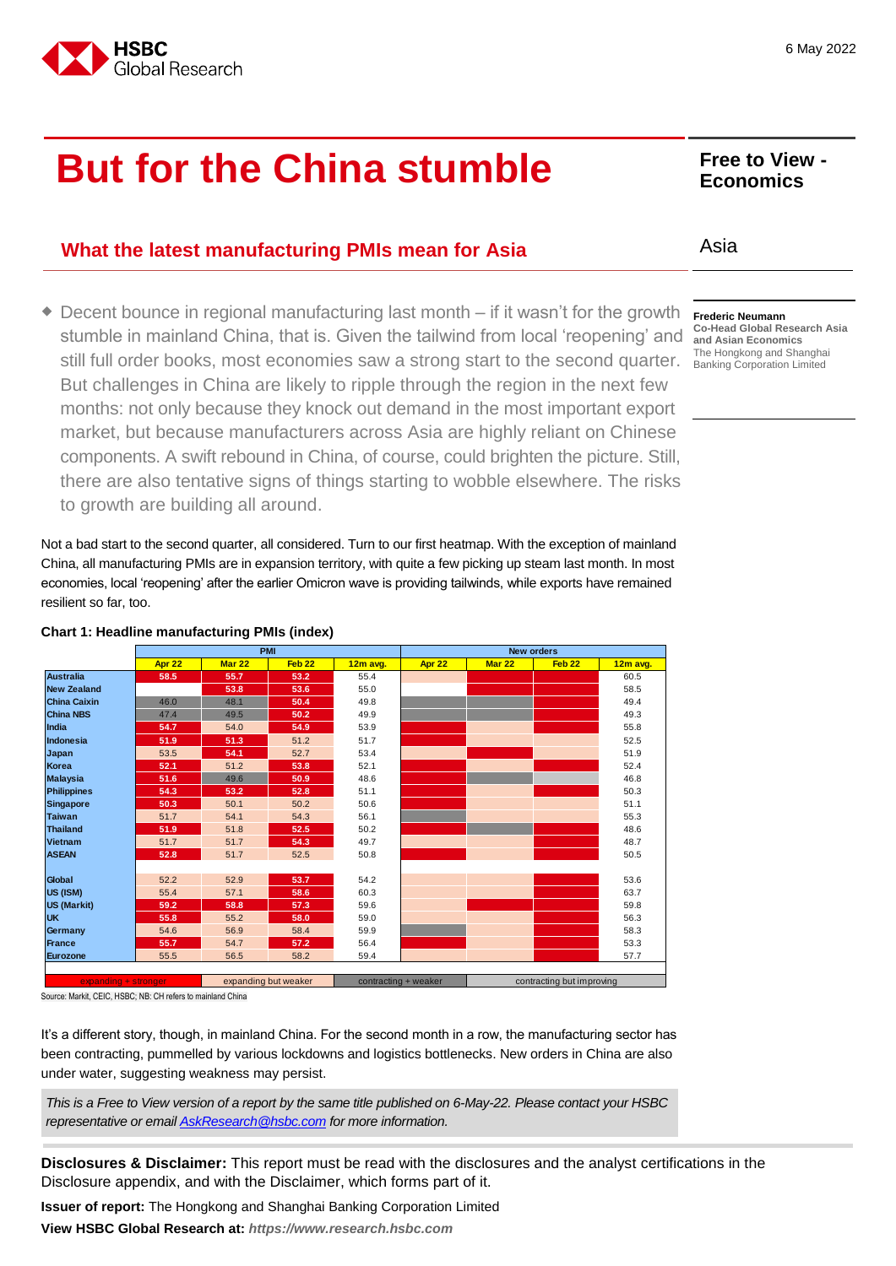

## **But for the China stumble** Free to View -

## **What the latest manufacturing PMIs mean for Asia** Asia

◆ Decent bounce in regional manufacturing last month – if it wasn't for the growth stumble in mainland China, that is. Given the tailwind from local 'reopening' and still full order books, most economies saw a strong start to the second quarter. But challenges in China are likely to ripple through the region in the next few months: not only because they knock out demand in the most important export market, but because manufacturers across Asia are highly reliant on Chinese components. A swift rebound in China, of course, could brighten the picture. Still, there are also tentative signs of things starting to wobble elsewhere. The risks to growth are building all around.

Not a bad start to the second quarter, all considered. Turn to our first heatmap. With the exception of mainland China, all manufacturing PMIs are in expansion territory, with quite a few picking up steam last month. In most economies, local 'reopening' after the earlier Omicron wave is providing tailwinds, while exports have remained resilient so far, too.

**Apr 22 Mar 22 Feb 22 12m avg. Apr 22 Mar 22 Feb 22 12m avg. Australia 58.5 55.7 53.2** 55.4 60.5 **New Zealand 53.8 53.6** 55.0 58.5 **China Caixin** 46.0 48.1 **50.4** 49.8 49.4 **China NBS** 47.4 49.5 **50.2** 49.9 **49.9** 49.3 **India 54.7** 54.0 **54.9** 53.9 55.8 **Indonesia 51.9 51.3** 51.2 51.7 52.5 **Japan** 53.5 **54.1** 52.7 53.4 51.9 **Korea 52.1** 51.2 **53.8** 52.1 52.4 **Malaysia 51.6** 49.6 **50.9** 48.6 46.8 **Philippines 54.3 53.2 52.8** 51.1 50.3 **Singapore 50.3** 50.1 50.2 50.6 51.1 **Taiwan** 51.7 54.1 54.3 56.1 55.3 **Thailand 51.9** 51.8 **52.5** 50.2 48.6 **Vietnam** 51.7 51.7 **54.3** 49.7 48.7 **ASEAN 52.8 52.8 51.7 52.5 50.8 50.8 50.5 50.5 50.5** 50.5 **Global** 52.2 52.9 53.**7** 54.2 54.2 53.6 **US (ISM)** 55.4 57.1 **58.6** 60.3 **60.3 58.6** 60.3 58.5 58.5 58.7 **US (Markit) 59.2 58.8 57.3** 59.6 59.8 **UK 55.8** 55.2 **58.0** 59.0 56.3 **Germany 19 = 54.6 56.9 56.9 58.4 59.9 58.3 58.3 58.3** 58.3 **France 55.7** 54.7 **57.2** 56.4 53.3 **Eurozone** 55.5 56.5 58.2 59.4 57.7 **PMI New orders**  $\epsilon$ xpanding but weaker contracting + weaker contracting contracting but improving

## **Chart 1: Headline manufacturing PMIs (index)**

Source: Markit, CEIC, HSBC; NB: CH refers to mainland China

It's a different story, though, in mainland China. For the second month in a row, the manufacturing sector has been contracting, pummelled by various lockdowns and logistics bottlenecks. New orders in China are also under water, suggesting weakness may persist.

*This is a Free to View version of a report by the same title published on 6-May-22. Please contact your HSBC representative or emai[l AskResearch@hsbc.com](mailto:AskResearch@hsbc.com) for more information.*

**Disclosures & Disclaimer:** This report must be read with the disclosures and the analyst certifications in the Disclosure appendix, and with the Disclaimer, which forms part of it.

**Issuer of report:** The Hongkong and Shanghai Banking Corporation Limited

**View HSBC Global Research at:** *[https://www.research.hsbc.com](https://www.research.hsbc.com/)*

## **Economics**

## **Frederic Neumann**

**Co-Head Global Research Asia and Asian Economics** The Hongkong and Shanghai Banking Corporation Limited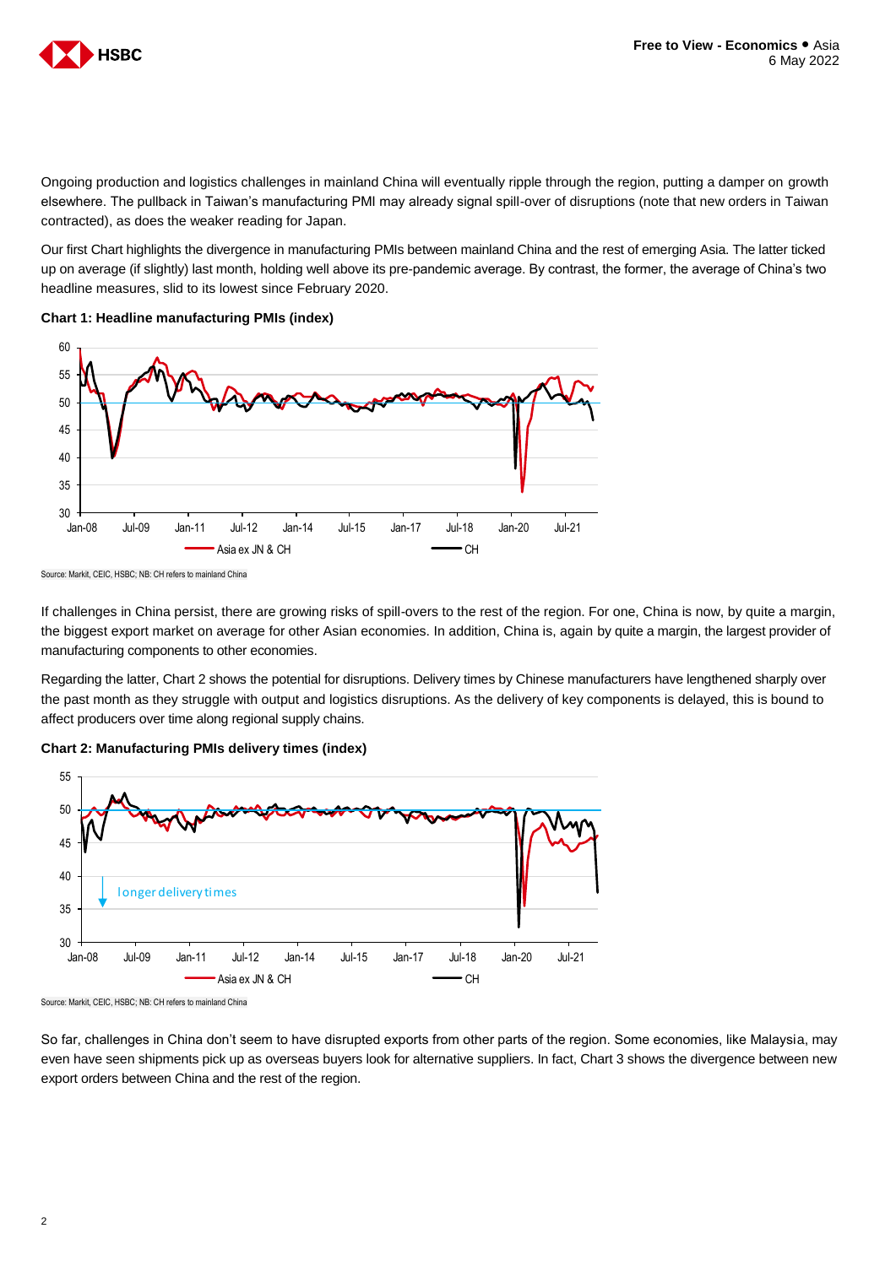

Ongoing production and logistics challenges in mainland China will eventually ripple through the region, putting a damper on growth elsewhere. The pullback in Taiwan's manufacturing PMI may already signal spill-over of disruptions (note that new orders in Taiwan contracted), as does the weaker reading for Japan.

Our first Chart highlights the divergence in manufacturing PMIs between mainland China and the rest of emerging Asia. The latter ticked up on average (if slightly) last month, holding well above its pre-pandemic average. By contrast, the former, the average of China's two headline measures, slid to its lowest since February 2020.

**Chart 1: Headline manufacturing PMIs (index)**



Source: Markit, CEIC, HSBC; NB: CH refers to mainland China

If challenges in China persist, there are growing risks of spill-overs to the rest of the region. For one, China is now, by quite a margin, the biggest export market on average for other Asian economies. In addition, China is, again by quite a margin, the largest provider of manufacturing components to other economies.

Regarding the latter, Chart 2 shows the potential for disruptions. Delivery times by Chinese manufacturers have lengthened sharply over the past month as they struggle with output and logistics disruptions. As the delivery of key components is delayed, this is bound to affect producers over time along regional supply chains.





Source: Markit, CEIC, HSBC; NB: CH refers to mainland China

So far, challenges in China don't seem to have disrupted exports from other parts of the region. Some economies, like Malaysia, may even have seen shipments pick up as overseas buyers look for alternative suppliers. In fact, Chart 3 shows the divergence between new export orders between China and the rest of the region.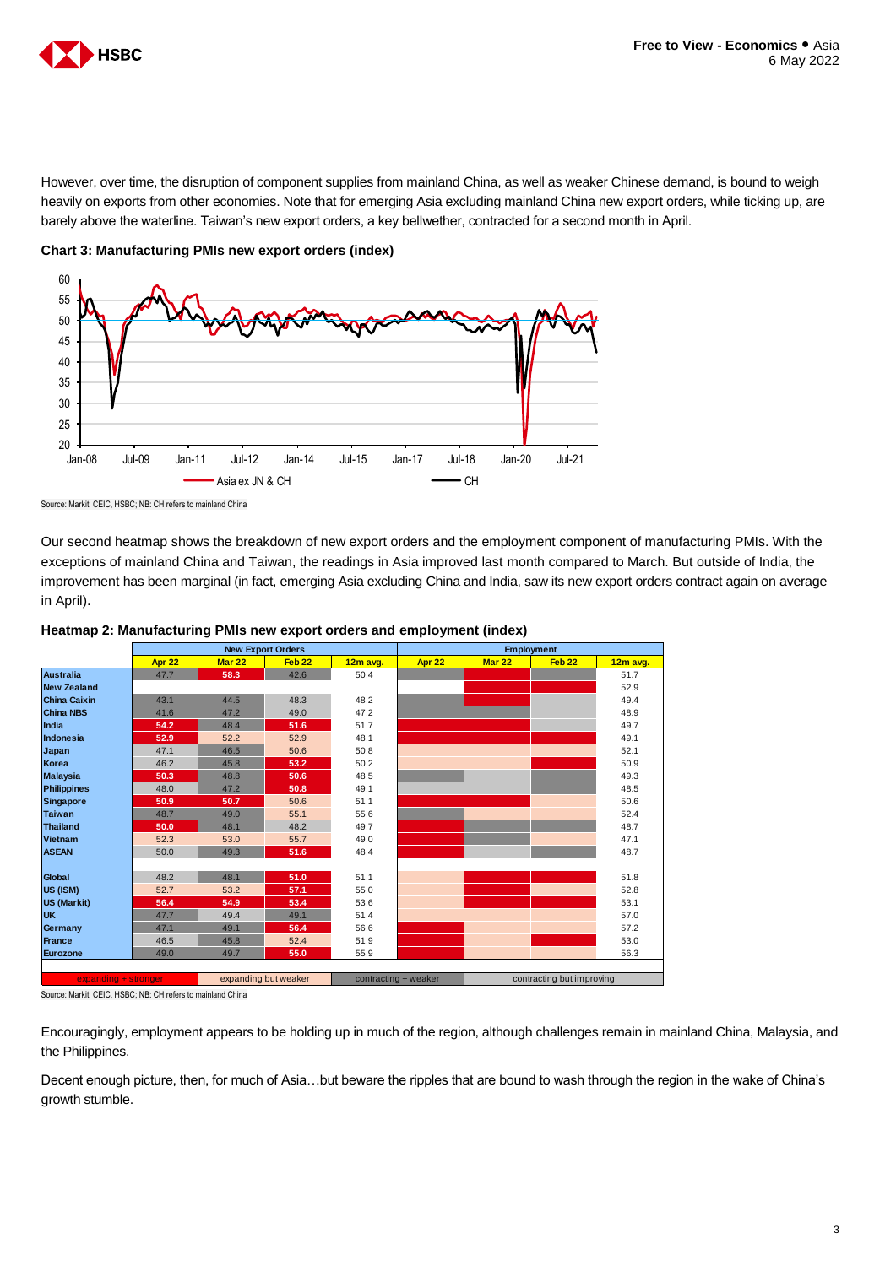

However, over time, the disruption of component supplies from mainland China, as well as weaker Chinese demand, is bound to weigh heavily on exports from other economies. Note that for emerging Asia excluding mainland China new export orders, while ticking up, are barely above the waterline. Taiwan's new export orders, a key bellwether, contracted for a second month in April.



**Chart 3: Manufacturing PMIs new export orders (index)**

Our second heatmap shows the breakdown of new export orders and the employment component of manufacturing PMIs. With the exceptions of mainland China and Taiwan, the readings in Asia improved last month compared to March. But outside of India, the improvement has been marginal (in fact, emerging Asia excluding China and India, saw its new export orders contract again on average in April).



## **Heatmap 2: Manufacturing PMIs new export orders and employment (index)**

Source: Markit, CEIC, HSBC; NB: CH refers to mainland China

Encouragingly, employment appears to be holding up in much of the region, although challenges remain in mainland China, Malaysia, and the Philippines.

Decent enough picture, then, for much of Asia…but beware the ripples that are bound to wash through the region in the wake of China's growth stumble.

Source: Markit, CEIC, HSBC; NB: CH refers to mainland China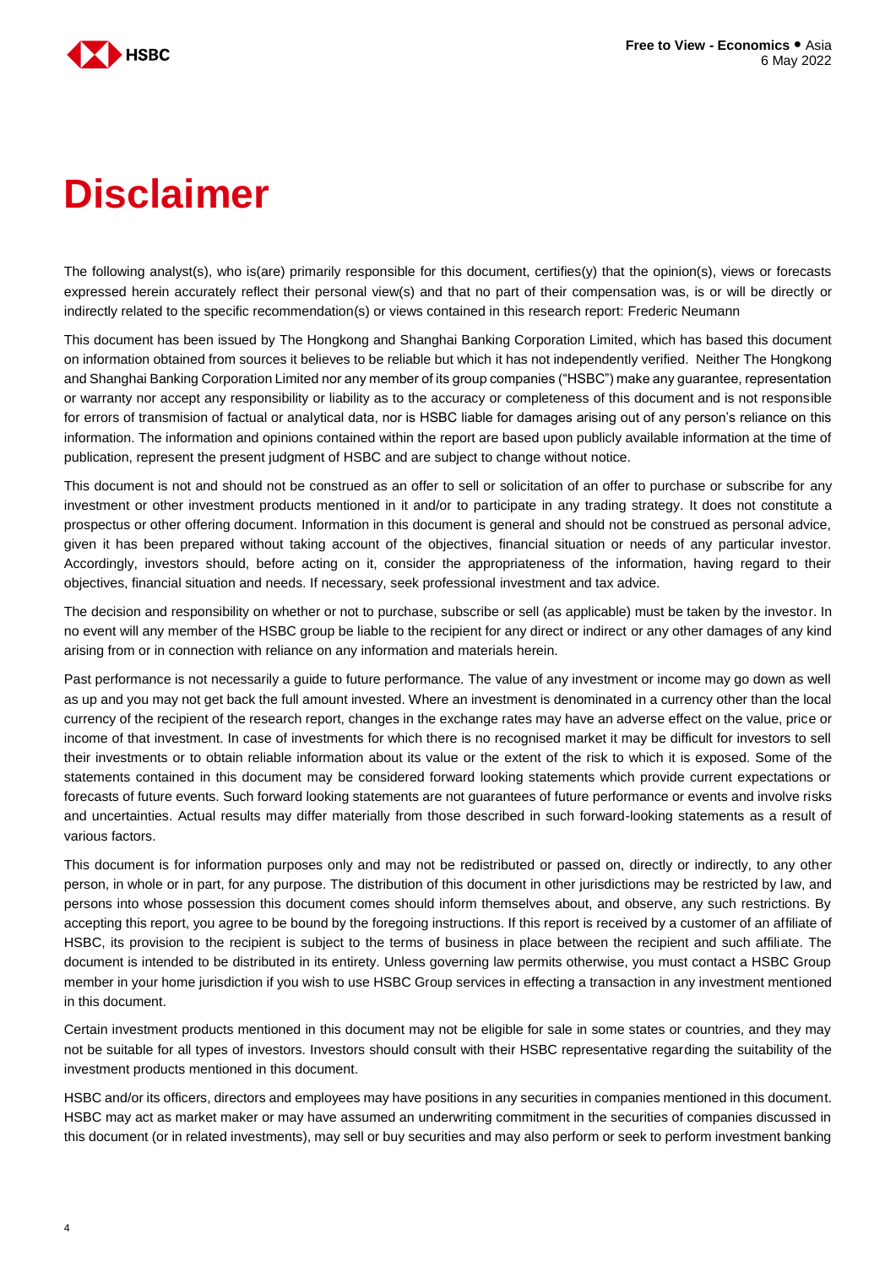

# **Disclaimer**

The following analyst(s), who is(are) primarily responsible for this document, certifies(y) that the opinion(s), views or forecasts expressed herein accurately reflect their personal view(s) and that no part of their compensation was, is or will be directly or indirectly related to the specific recommendation(s) or views contained in this research report: Frederic Neumann

This document has been issued by The Hongkong and Shanghai Banking Corporation Limited, which has based this document on information obtained from sources it believes to be reliable but which it has not independently verified. Neither The Hongkong and Shanghai Banking Corporation Limited nor any member of its group companies ("HSBC") make any guarantee, representation or warranty nor accept any responsibility or liability as to the accuracy or completeness of this document and is not responsible for errors of transmision of factual or analytical data, nor is HSBC liable for damages arising out of any person's reliance on this information. The information and opinions contained within the report are based upon publicly available information at the time of publication, represent the present judgment of HSBC and are subject to change without notice.

This document is not and should not be construed as an offer to sell or solicitation of an offer to purchase or subscribe for any investment or other investment products mentioned in it and/or to participate in any trading strategy. It does not constitute a prospectus or other offering document. Information in this document is general and should not be construed as personal advice, given it has been prepared without taking account of the objectives, financial situation or needs of any particular investor. Accordingly, investors should, before acting on it, consider the appropriateness of the information, having regard to their objectives, financial situation and needs. If necessary, seek professional investment and tax advice.

The decision and responsibility on whether or not to purchase, subscribe or sell (as applicable) must be taken by the investor. In no event will any member of the HSBC group be liable to the recipient for any direct or indirect or any other damages of any kind arising from or in connection with reliance on any information and materials herein.

Past performance is not necessarily a guide to future performance. The value of any investment or income may go down as well as up and you may not get back the full amount invested. Where an investment is denominated in a currency other than the local currency of the recipient of the research report, changes in the exchange rates may have an adverse effect on the value, price or income of that investment. In case of investments for which there is no recognised market it may be difficult for investors to sell their investments or to obtain reliable information about its value or the extent of the risk to which it is exposed. Some of the statements contained in this document may be considered forward looking statements which provide current expectations or forecasts of future events. Such forward looking statements are not guarantees of future performance or events and involve risks and uncertainties. Actual results may differ materially from those described in such forward-looking statements as a result of various factors.

This document is for information purposes only and may not be redistributed or passed on, directly or indirectly, to any other person, in whole or in part, for any purpose. The distribution of this document in other jurisdictions may be restricted by law, and persons into whose possession this document comes should inform themselves about, and observe, any such restrictions. By accepting this report, you agree to be bound by the foregoing instructions. If this report is received by a customer of an affiliate of HSBC, its provision to the recipient is subject to the terms of business in place between the recipient and such affiliate. The document is intended to be distributed in its entirety. Unless governing law permits otherwise, you must contact a HSBC Group member in your home jurisdiction if you wish to use HSBC Group services in effecting a transaction in any investment mentioned in this document.

Certain investment products mentioned in this document may not be eligible for sale in some states or countries, and they may not be suitable for all types of investors. Investors should consult with their HSBC representative regarding the suitability of the investment products mentioned in this document.

HSBC and/or its officers, directors and employees may have positions in any securities in companies mentioned in this document. HSBC may act as market maker or may have assumed an underwriting commitment in the securities of companies discussed in this document (or in related investments), may sell or buy securities and may also perform or seek to perform investment banking